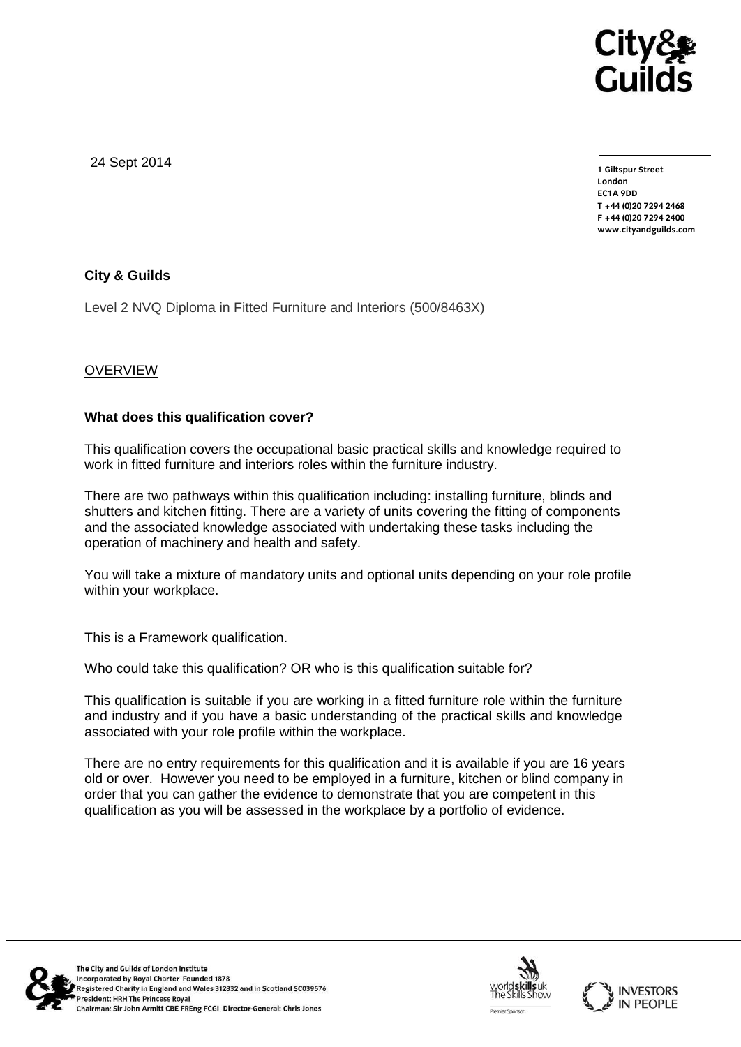

24 Sept 2014

**1 Giltspur Street EC1A 9DD** T +44 (0) 20 7 294 2468 **T +44 (0)20 7294 246[8](http://www.cityandguilds.com/) F +44 (0)20 7294 2400 [www.cityandguilds.com](http://www.cityandguilds.com/)**

# **City & Guilds**

Level 2 NVQ Diploma in Fitted Furniture and Interiors (500/8463X)

# **OVERVIEW**

# **What does this qualification cover?**

This qualification covers the occupational basic practical skills and knowledge required to work in fitted furniture and interiors roles within the furniture industry.

There are two pathways within this qualification including: installing furniture, blinds and shutters and kitchen fitting. There are a variety of units covering the fitting of components and the associated knowledge associated with undertaking these tasks including the operation of machinery and health and safety.

You will take a mixture of mandatory units and optional units depending on your role profile within your workplace.

This is a Framework qualification.

Who could take this qualification? OR who is this qualification suitable for?

This qualification is suitable if you are working in a fitted furniture role within the furniture and industry and if you have a basic understanding of the practical skills and knowledge associated with your role profile within the workplace.

There are no entry requirements for this qualification and it is available if you are 16 years old or over. However you need to be employed in a furniture, kitchen or blind company in order that you can gather the evidence to demonstrate that you are competent in this qualification as you will be assessed in the workplace by a portfolio of evidence.